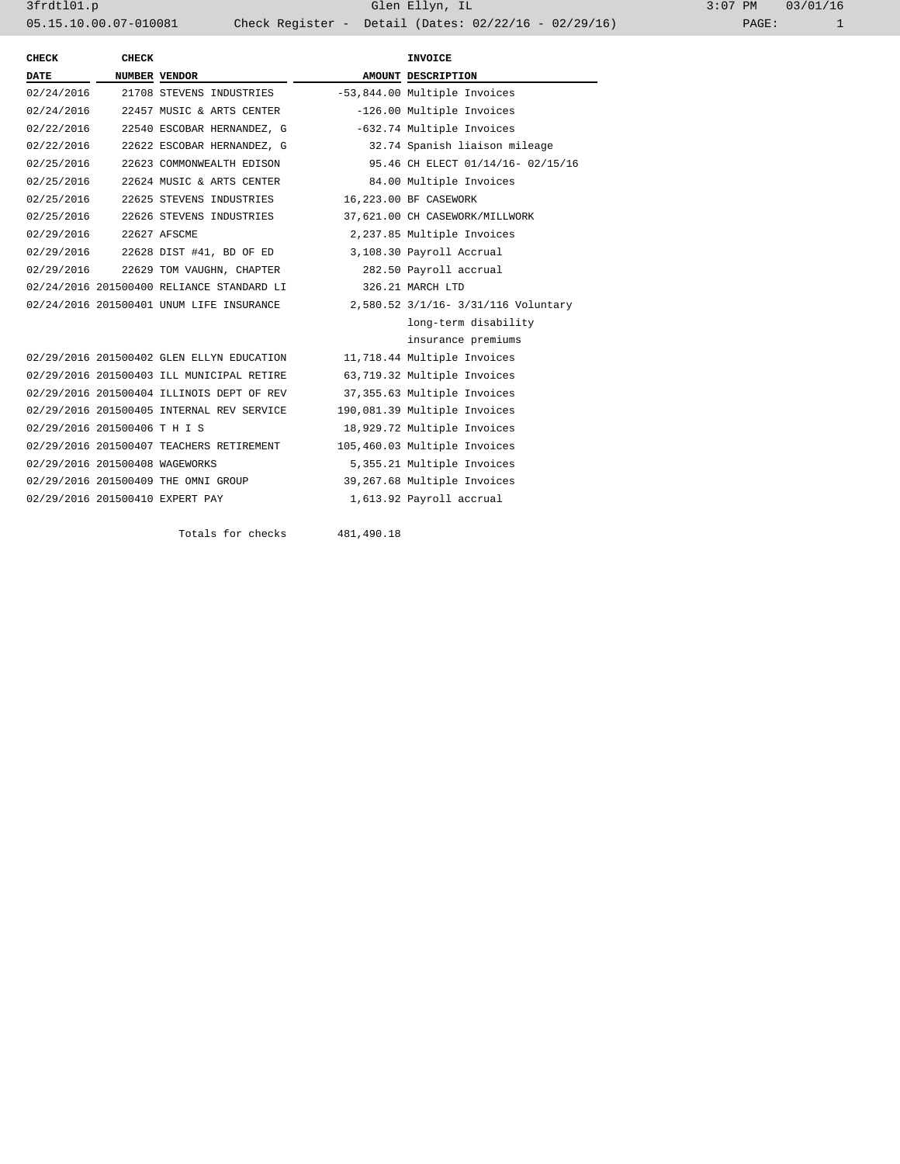3frdtl01.p Glen Ellyn, IL 3:07 PM 03/01/16 05.15.10.00.07-010081 Check Register - Detail (Dates: 02/22/16 - 02/29/16)

| CHECK                          | <b>CHECK</b> |                                                   |            | <b>INVOICE</b>                      |  |
|--------------------------------|--------------|---------------------------------------------------|------------|-------------------------------------|--|
| <b>DATE</b>                    |              | NUMBER VENDOR                                     |            | AMOUNT DESCRIPTION                  |  |
| 02/24/2016                     |              | 21708 STEVENS INDUSTRIES                          |            | -53,844.00 Multiple Invoices        |  |
| 02/24/2016                     |              | 22457 MUSIC & ARTS CENTER                         |            | -126.00 Multiple Invoices           |  |
| 02/22/2016                     |              | 22540 ESCOBAR HERNANDEZ, G                        |            | -632.74 Multiple Invoices           |  |
| 02/22/2016                     |              | 22622 ESCOBAR HERNANDEZ, G                        |            | 32.74 Spanish liaison mileage       |  |
| 02/25/2016                     |              | 22623 COMMONWEALTH EDISON                         |            | 95.46 CH ELECT 01/14/16- 02/15/16   |  |
| 02/25/2016                     |              | 22624 MUSIC & ARTS CENTER                         |            | 84.00 Multiple Invoices             |  |
| 02/25/2016                     |              | 22625 STEVENS INDUSTRIES                          |            | 16,223.00 BF CASEWORK               |  |
| 02/25/2016                     |              | 22626 STEVENS INDUSTRIES                          |            | 37,621.00 CH CASEWORK/MILLWORK      |  |
| 02/29/2016                     |              | 22627 AFSCME                                      |            | 2,237.85 Multiple Invoices          |  |
| 02/29/2016                     |              | 22628 DIST #41, BD OF ED 3,108.30 Payroll Accrual |            |                                     |  |
| 02/29/2016                     |              | 22629 TOM VAUGHN, CHAPTER                         |            | 282.50 Payroll accrual              |  |
|                                |              | 02/24/2016 201500400 RELIANCE STANDARD LI         |            | 326.21 MARCH LTD                    |  |
|                                |              | 02/24/2016 201500401 UNUM LIFE INSURANCE          |            | 2,580.52 3/1/16- 3/31/116 Voluntary |  |
|                                |              |                                                   |            | long-term disability                |  |
|                                |              |                                                   |            | insurance premiums                  |  |
|                                |              | 02/29/2016 201500402 GLEN ELLYN EDUCATION         |            | 11,718.44 Multiple Invoices         |  |
|                                |              | 02/29/2016 201500403 ILL MUNICIPAL RETIRE         |            | 63,719.32 Multiple Invoices         |  |
|                                |              | 02/29/2016 201500404 ILLINOIS DEPT OF REV         |            | 37,355.63 Multiple Invoices         |  |
|                                |              | 02/29/2016 201500405 INTERNAL REV SERVICE         |            | 190,081.39 Multiple Invoices        |  |
| 02/29/2016 201500406 T H I S   |              |                                                   |            | 18,929.72 Multiple Invoices         |  |
|                                |              | 02/29/2016 201500407 TEACHERS RETIREMENT          |            | 105,460.03 Multiple Invoices        |  |
| 02/29/2016 201500408 WAGEWORKS |              |                                                   |            | 5,355.21 Multiple Invoices          |  |
|                                |              | 02/29/2016 201500409 THE OMNI GROUP               |            | 39,267.68 Multiple Invoices         |  |
|                                |              | 02/29/2016 201500410 EXPERT PAY                   |            | 1,613.92 Payroll accrual            |  |
|                                |              |                                                   |            |                                     |  |
|                                |              | Totals for checks                                 | 481,490.18 |                                     |  |